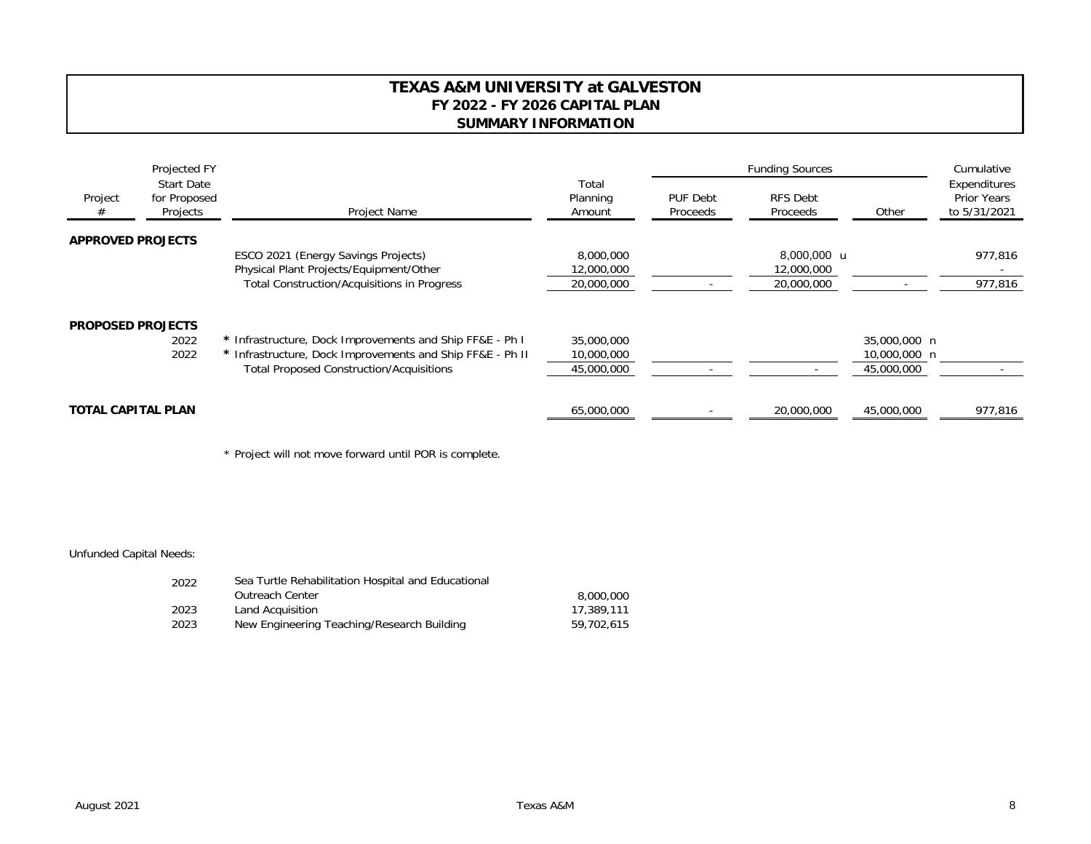## **TEXAS A&M UNIVERSITY at GALVESTON FY 2022 - FY 2026 CAPITAL PLAN SUMMARY INFORMATION**

| Project                   | Projected FY<br><b>Start Date</b><br>for Proposed<br>Projects | Project Name                                                                                                                                                             | Total<br>Planning<br>Amount            | <b>Funding Sources</b>      |                                         |                                            | Cumulative                                         |
|---------------------------|---------------------------------------------------------------|--------------------------------------------------------------------------------------------------------------------------------------------------------------------------|----------------------------------------|-----------------------------|-----------------------------------------|--------------------------------------------|----------------------------------------------------|
|                           |                                                               |                                                                                                                                                                          |                                        | <b>PUF Debt</b><br>Proceeds | RFS Debt<br>Proceeds                    | Other                                      | Expenditures<br><b>Prior Years</b><br>to 5/31/2021 |
| <b>APPROVED PROJECTS</b>  |                                                               |                                                                                                                                                                          |                                        |                             |                                         |                                            |                                                    |
|                           |                                                               | ESCO 2021 (Energy Savings Projects)<br>Physical Plant Projects/Equipment/Other<br><b>Total Construction/Acquisitions in Progress</b>                                     | 8,000,000<br>12,000,000<br>20,000,000  |                             | 8,000,000 u<br>12,000,000<br>20,000,000 |                                            | 977,816<br>977,816                                 |
| <b>PROPOSED PROJECTS</b>  | 2022<br>2022                                                  | * Infrastructure, Dock Improvements and Ship FF&E - Ph I<br>* Infrastructure, Dock Improvements and Ship FF&E - Ph II<br><b>Total Proposed Construction/Acquisitions</b> | 35,000,000<br>10,000,000<br>45,000,000 |                             |                                         | 35,000,000 n<br>10,000,000 n<br>45,000,000 |                                                    |
| <b>TOTAL CAPITAL PLAN</b> |                                                               | 65,000,000                                                                                                                                                               |                                        | 20,000,000                  | 45,000,000                              | 977,816                                    |                                                    |

\* Project will not move forward until POR is complete.

## Unfunded Capital Needs:

| 2022 | Sea Turtle Rehabilitation Hospital and Educational |            |  |  |  |
|------|----------------------------------------------------|------------|--|--|--|
|      | Outreach Center                                    | 8,000,000  |  |  |  |
| 2023 | Land Acquisition                                   | 17,389,111 |  |  |  |
| 2023 | New Engineering Teaching/Research Building         | 59,702,615 |  |  |  |